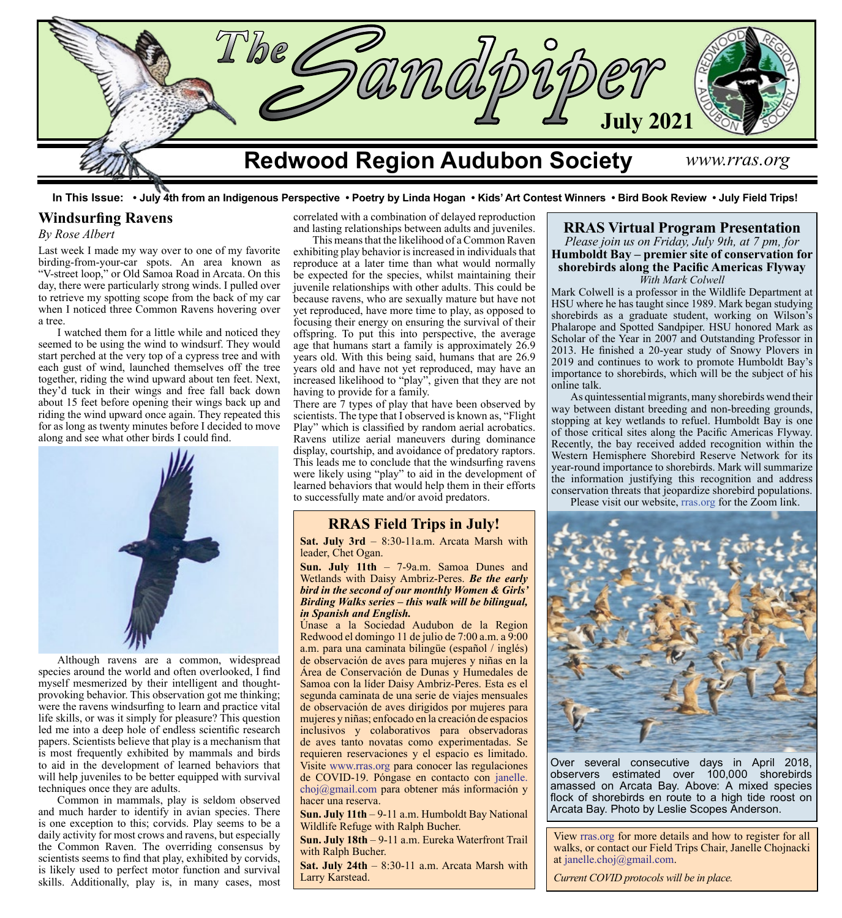

 **In This Issue: • July 4th from an Indigenous Perspective • Poetry by Linda Hogan • Kids' Art Contest Winners • Bird Book Review • July Field Trips!**

### **Windsurfing Ravens**

#### *By Rose Albert*

Last week I made my way over to one of my favorite birding-from-your-car spots. An area known as "V-street loop," or Old Samoa Road in Arcata. On this day, there were particularly strong winds. I pulled over to retrieve my spotting scope from the back of my car when I noticed three Common Ravens hovering over a tree.

I watched them for a little while and noticed they seemed to be using the wind to windsurf. They would start perched at the very top of a cypress tree and with each gust of wind, launched themselves off the tree together, riding the wind upward about ten feet. Next, they'd tuck in their wings and free fall back down about 15 feet before opening their wings back up and riding the wind upward once again. They repeated this for as long as twenty minutes before I decided to move along and see what other birds I could find.



Although ravens are a common, widespread species around the world and often overlooked, I find myself mesmerized by their intelligent and thoughtprovoking behavior. This observation got me thinking; were the ravens windsurfing to learn and practice vital life skills, or was it simply for pleasure? This question led me into a deep hole of endless scientific research papers. Scientists believe that play is a mechanism that is most frequently exhibited by mammals and birds to aid in the development of learned behaviors that will help juveniles to be better equipped with survival techniques once they are adults.

Common in mammals, play is seldom observed and much harder to identify in avian species. There is one exception to this; corvids. Play seems to be a daily activity for most crows and ravens, but especially the Common Raven. The overriding consensus by scientists seems to find that play, exhibited by corvids, is likely used to perfect motor function and survival skills. Additionally, play is, in many cases, most

correlated with a combination of delayed reproduction and lasting relationships between adults and juveniles.

# This means that the likelihood of a Common Raven exhibiting play behavior is increased in individuals that

reproduce at a later time than what would normally be expected for the species, whilst maintaining their juvenile relationships with other adults. This could be because ravens, who are sexually mature but have not yet reproduced, have more time to play, as opposed to focusing their energy on ensuring the survival of their offspring. To put this into perspective, the average age that humans start a family is approximately 26.9 years old. With this being said, humans that are 26.9 years old and have not yet reproduced, may have an increased likelihood to "play", given that they are not having to provide for a family.

There are 7 types of play that have been observed by scientists. The type that I observed is known as, "Flight Play" which is classified by random aerial acrobatics. Ravens utilize aerial maneuvers during dominance display, courtship, and avoidance of predatory raptors. This leads me to conclude that the windsurfing ravens were likely using "play" to aid in the development of learned behaviors that would help them in their efforts to successfully mate and/or avoid predators.

## **RRAS Field Trips in July!**

**Sat. July 3rd** – 8:30-11a.m. Arcata Marsh with leader, Chet Ogan.

**Sun. July 11th** – 7-9a.m. Samoa Dunes and Wetlands with Daisy Ambriz-Peres. *Be the early bird in the second of our monthly Women & Girls' Birding Walks series – this walk will be bilingual, in Spanish and English.*

Únase a la Sociedad Audubon de la Region Redwood el domingo 11 de julio de 7:00 a.m. a 9:00 a.m. para una caminata bilingüe (español / inglés) de observación de aves para mujeres y niñas en la Área de Conservación de Dunas y Humedales de Samoa con la líder Daisy Ambriz-Peres. Esta es el segunda caminata de una serie de viajes mensuales de observación de aves dirigidos por mujeres para mujeres y niñas; enfocado en la creación de espacios inclusivos y colaborativos para observadoras de aves tanto novatas como experimentadas. Se requieren reservaciones y el espacio es limitado. Visite [www.rras.org](http://www.rras.org) para conocer las regulaciones de COVID-19. Póngase en contacto con [janelle.](mailto:janelle.choj%40gmail.com?subject=) [choj@gmail.com](mailto:janelle.choj%40gmail.com?subject=) para obtener más información y hacer una reserva.

**Sun. July 11th** – 9-11 a.m. Humboldt Bay National Wildlife Refuge with Ralph Bucher.

**Sun. July 18th** – 9-11 a.m. Eureka Waterfront Trail with Ralph Bucher.

**Sat. July 24th** – 8:30-11 a.m. Arcata Marsh with Larry Karstead.

#### **RRAS Virtual Program Presentation** *Please join us on Friday, July 9th, at 7 pm, for* **Humboldt Bay – premier site of conservation for shorebirds along the Pacific Americas Flyway** *With Mark Colwell*

Mark Colwell is a professor in the Wildlife Department at HSU where he has taught since 1989. Mark began studying shorebirds as a graduate student, working on Wilson's Phalarope and Spotted Sandpiper. HSU honored Mark as Scholar of the Year in 2007 and Outstanding Professor in 2013. He finished a 20-year study of Snowy Plovers in 2019 and continues to work to promote Humboldt Bay's importance to shorebirds, which will be the subject of his online talk.

As quintessential migrants, many shorebirds wend their way between distant breeding and non-breeding grounds, stopping at key wetlands to refuel. Humboldt Bay is one of those critical sites along the Pacific Americas Flyway. Recently, the bay received added recognition within the Western Hemisphere Shorebird Reserve Network for its year-round importance to shorebirds. Mark will summarize the information justifying this recognition and address conservation threats that jeopardize shorebird populations.

Please visit our website, [rras.org](http://rras.org/home.aspx) for the Zoom link.



Over several consecutive days in April 2018, observers estimated over 100,000 shorebirds amassed on Arcata Bay. Above: A mixed species flock of shorebirds en route to a high tide roost on Arcata Bay. Photo by Leslie Scopes Anderson.

View [rras.org](http://rras.org/home.aspx) for more details and how to register for all walks, or contact our Field Trips Chair, Janelle Chojnacki at [janelle.choj@gmail.com.](http://janelle.choj@gmail.com)

*Current COVID protocols will be in place.*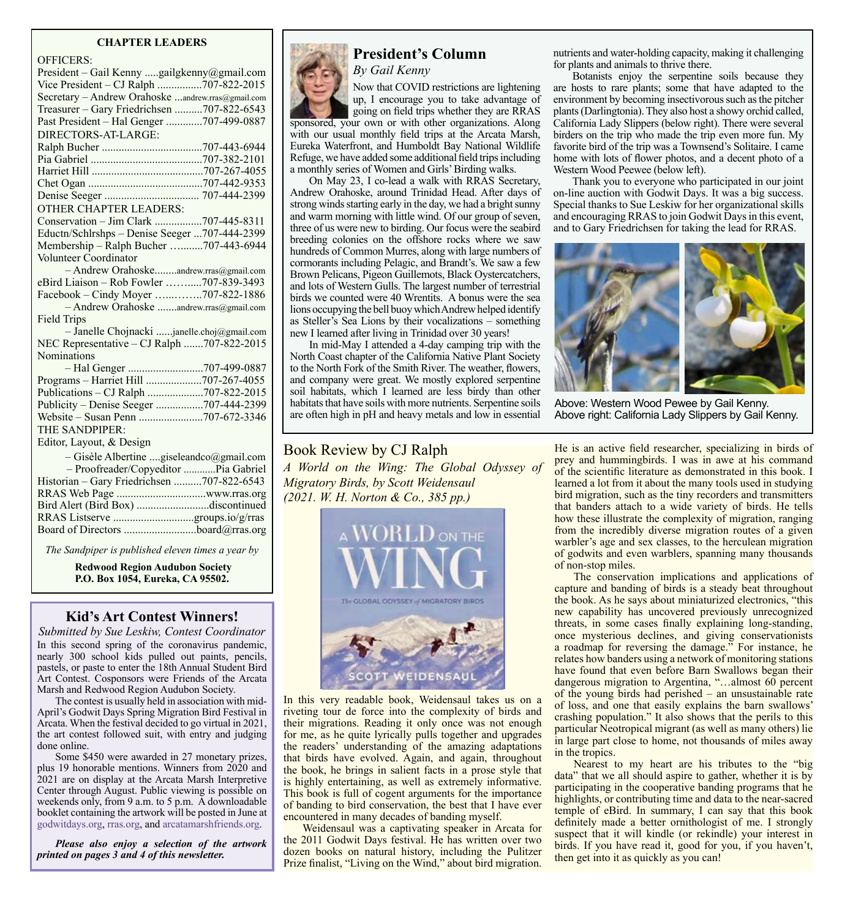#### **CHAPTER LEADERS**

OFFICERS:

| UFFIUEIND.                                        |  |
|---------------------------------------------------|--|
| President - Gail Kenny gailgkenny@gmail.com       |  |
| Vice President - CJ Ralph 707-822-2015            |  |
| Secretary - Andrew Orahoske andrew.rras@gmail.com |  |
| Treasurer - Gary Friedrichsen 707-822-6543        |  |
| Past President - Hal Genger 707-499-0887          |  |
| DIRECTORS-AT-LARGE:                               |  |
|                                                   |  |
|                                                   |  |
|                                                   |  |
|                                                   |  |
|                                                   |  |
| <b>OTHER CHAPTER LEADERS:</b>                     |  |
| Conservation - Jim Clark 707-445-8311             |  |
| Eductn/Schlrshps - Denise Seeger 707-444-2399     |  |
| Membership - Ralph Bucher 707-443-6944            |  |
| Volunteer Coordinator                             |  |
| - Andrew Orahoskeandrew.rras@gmail.com            |  |
| eBird Liaison - Rob Fowler 707-839-3493           |  |
| Facebook – Cindy Moyer 707-822-1886               |  |
| - Andrew Orahoske andrew.rras@gmail.com           |  |
| <b>Field Trips</b>                                |  |
| - Janelle Chojnacki janelle.choj@gmail.com        |  |
| NEC Representative - CJ Ralph 707-822-2015        |  |
| <b>Nominations</b>                                |  |
|                                                   |  |
| Programs - Harriet Hill 707-267-4055              |  |
| Publications - CJ Ralph 707-822-2015              |  |
| Publicity – Denise Seeger 707-444-2399            |  |
|                                                   |  |
| THE SANDPIPER:                                    |  |
| Editor, Layout, & Design                          |  |
| - Gisèle Albertine giseleandco@gmail.com          |  |
| - Proofreader/Copyeditor Pia Gabriel              |  |
| Historian - Gary Friedrichsen 707-822-6543        |  |
|                                                   |  |
| Bird Alert (Bird Box) discontinued                |  |
|                                                   |  |
|                                                   |  |
|                                                   |  |
| The Sandniner is muhlished eleven times a vear by |  |

*The Sandpiper is published eleven times a year by*

**Redwood Region Audubon Society P.O. Box 1054, Eureka, CA 95502.**

### **Kid's Art Contest Winners!**

*Submitted by Sue Leskiw, Contest Coordinator* In this second spring of the coronavirus pandemic, nearly 300 school kids pulled out paints, pencils, pastels, or paste to enter the 18th Annual Student Bird Art Contest. Cosponsors were Friends of the Arcata Marsh and Redwood Region Audubon Society.

The contest is usually held in association with mid-April's Godwit Days Spring Migration Bird Festival in Arcata. When the festival decided to go virtual in 2021, the art contest followed suit, with entry and judging done online.

Some \$450 were awarded in 27 monetary prizes, plus 19 honorable mentions. Winners from 2020 and 2021 are on display at the Arcata Marsh Interpretive Center through August. Public viewing is possible on weekends only, from 9 a.m. to 5 p.m. A downloadable booklet containing the artwork will be posted in June at [godwitdays.org](https://www.godwitdays.org/), [rras.org](http://rras.org/home.aspx), and [arcatamarshfriends.org](https://www.arcatamarshfriends.org/).

*Please also enjoy a selection of the artwork printed on pages 3 and 4 of this newsletter.*



# **President's Column**

*By Gail Kenny* Now that COVID restrictions are lightening up, I encourage you to take advantage of going on field trips whether they are RRAS

sponsored, your own or with other organizations. Along with our usual monthly field trips at the Arcata Marsh, Eureka Waterfront, and Humboldt Bay National Wildlife Refuge, we have added some additional field trips including a monthly series of Women and Girls' Birding walks.

On May 23, I co-lead a walk with RRAS Secretary, Andrew Orahoske, around Trinidad Head. After days of strong winds starting early in the day, we had a bright sunny and warm morning with little wind. Of our group of seven, three of us were new to birding. Our focus were the seabird breeding colonies on the offshore rocks where we saw hundreds of Common Murres, along with large numbers of cormorants including Pelagic, and Brandt's. We saw a few Brown Pelicans, Pigeon Guillemots, Black Oystercatchers, and lots of Western Gulls. The largest number of terrestrial birds we counted were 40 Wrentits. A bonus were the sea lions occupying the bell buoy which Andrew helped identify as Steller's Sea Lions by their vocalizations – something new I learned after living in Trinidad over 30 years!

In mid-May I attended a 4-day camping trip with the North Coast chapter of the California Native Plant Society to the North Fork of the Smith River. The weather, flowers, and company were great. We mostly explored serpentine soil habitats, which I learned are less birdy than other habitats that have soils with more nutrients. Serpentine soils are often high in pH and heavy metals and low in essential

Book Review by CJ Ralph *A World on the Wing: The Global Odyssey of Migratory Birds, by Scott Weidensaul (2021. W. H. Norton & Co., 385 pp.)*



In this very readable book, Weidensaul takes us on a riveting tour de force into the complexity of birds and their migrations. Reading it only once was not enough for me, as he quite lyrically pulls together and upgrades the readers' understanding of the amazing adaptations that birds have evolved. Again, and again, throughout the book, he brings in salient facts in a prose style that is highly entertaining, as well as extremely informative. This book is full of cogent arguments for the importance of banding to bird conservation, the best that I have ever encountered in many decades of banding myself.

Weidensaul was a captivating speaker in Arcata for the 2011 Godwit Days festival. He has written over two dozen books on natural history, including the Pulitzer Prize finalist, "Living on the Wind," about bird migration.

nutrients and water-holding capacity, making it challenging for plants and animals to thrive there.

Botanists enjoy the serpentine soils because they are hosts to rare plants; some that have adapted to the environment by becoming insectivorous such as the pitcher plants (Darlingtonia). They also host a showy orchid called, California Lady Slippers (below right). There were several birders on the trip who made the trip even more fun. My favorite bird of the trip was a Townsend's Solitaire. I came home with lots of flower photos, and a decent photo of a Western Wood Peewee (below left).

Thank you to everyone who participated in our joint on-line auction with Godwit Days. It was a big success. Special thanks to Sue Leskiw for her organizational skills and encouraging RRAS to join Godwit Days in this event, and to Gary Friedrichsen for taking the lead for RRAS.



Above: Western Wood Pewee by Gail Kenny. Above right: California Lady Slippers by Gail Kenny.

He is an active field researcher, specializing in birds of prey and hummingbirds. I was in awe at his command of the scientific literature as demonstrated in this book. I learned a lot from it about the many tools used in studying bird migration, such as the tiny recorders and transmitters that banders attach to a wide variety of birds. He tells how these illustrate the complexity of migration, ranging from the incredibly diverse migration routes of a given warbler's age and sex classes, to the herculean migration of godwits and even warblers, spanning many thousands of non-stop miles.

The conservation implications and applications of capture and banding of birds is a steady beat throughout the book. As he says about miniaturized electronics, "this new capability has uncovered previously unrecognized threats, in some cases finally explaining long-standing, once mysterious declines, and giving conservationists a roadmap for reversing the damage." For instance, he relates how banders using a network of monitoring stations have found that even before Barn Swallows began their dangerous migration to Argentina, "…almost 60 percent of the young birds had perished – an unsustainable rate of loss, and one that easily explains the barn swallows' crashing population." It also shows that the perils to this particular Neotropical migrant (as well as many others) lie in large part close to home, not thousands of miles away in the tropics.

Nearest to my heart are his tributes to the "big data" that we all should aspire to gather, whether it is by participating in the cooperative banding programs that he highlights, or contributing time and data to the near-sacred temple of eBird. In summary, I can say that this book definitely made a better ornithologist of me. I strongly suspect that it will kindle (or rekindle) your interest in birds. If you have read it, good for you, if you haven't, then get into it as quickly as you can!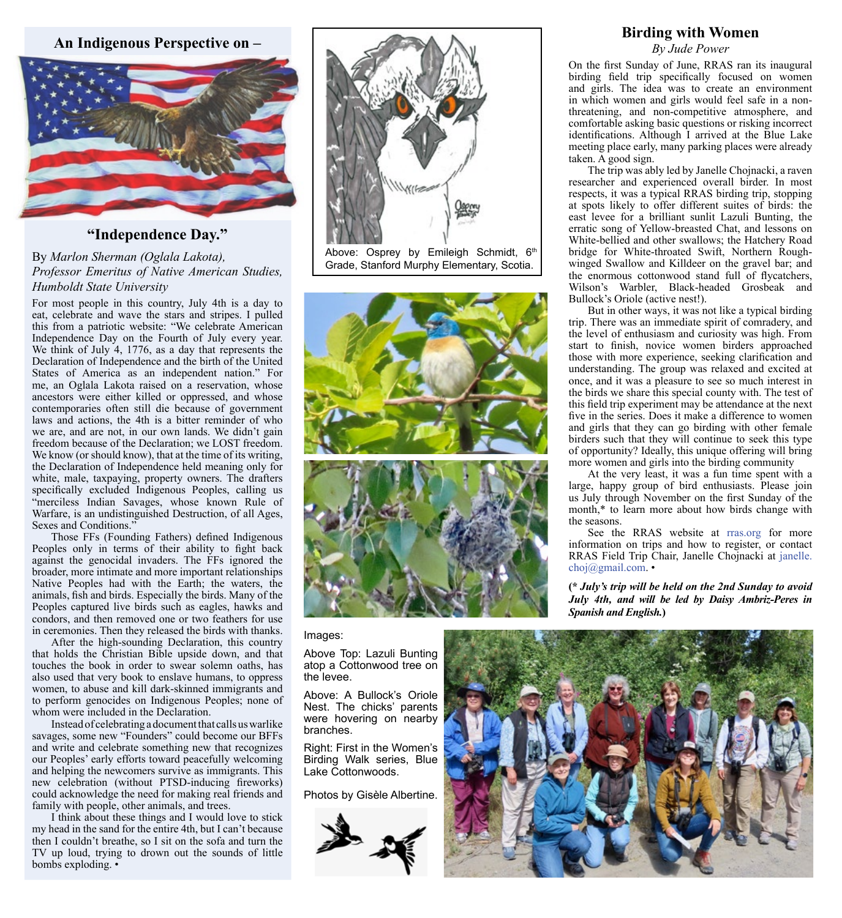**An Indigenous Perspective on –**



# **"Independence Day."**

By *Marlon Sherman (Oglala Lakota), Professor Emeritus of Native American Studies, Humboldt State University*

For most people in this country, July 4th is a day to eat, celebrate and wave the stars and stripes. I pulled this from a patriotic website: "We celebrate American Independence Day on the Fourth of July every year. We think of July 4, 1776, as a day that represents the Declaration of Independence and the birth of the United States of America as an independent nation." For me, an Oglala Lakota raised on a reservation, whose ancestors were either killed or oppressed, and whose contemporaries often still die because of government laws and actions, the 4th is a bitter reminder of who we are, and are not, in our own lands. We didn't gain freedom because of the Declaration; we LOST freedom. We know (or should know), that at the time of its writing, the Declaration of Independence held meaning only for white, male, taxpaying, property owners. The drafters specifically excluded Indigenous Peoples, calling us "merciless Indian Savages, whose known Rule of Warfare, is an undistinguished Destruction, of all Ages, Sexes and Conditions."

Those FFs (Founding Fathers) defined Indigenous Peoples only in terms of their ability to fight back against the genocidal invaders. The FFs ignored the broader, more intimate and more important relationships Native Peoples had with the Earth; the waters, the animals, fish and birds. Especially the birds. Many of the Peoples captured live birds such as eagles, hawks and condors, and then removed one or two feathers for use in ceremonies. Then they released the birds with thanks.

After the high-sounding Declaration, this country that holds the Christian Bible upside down, and that touches the book in order to swear solemn oaths, has also used that very book to enslave humans, to oppress women, to abuse and kill dark-skinned immigrants and to perform genocides on Indigenous Peoples; none of whom were included in the Declaration.

Instead of celebrating a document that calls us warlike savages, some new "Founders" could become our BFFs and write and celebrate something new that recognizes our Peoples' early efforts toward peacefully welcoming and helping the newcomers survive as immigrants. This new celebration (without PTSD-inducing fireworks) could acknowledge the need for making real friends and family with people, other animals, and trees.

I think about these things and I would love to stick my head in the sand for the entire 4th, but I can't because then I couldn't breathe, so I sit on the sofa and turn the TV up loud, trying to drown out the sounds of little bombs exploding. •



Above: Osprey by Emileigh Schmidt, 6th Grade, Stanford Murphy Elementary, Scotia.



Images:

Above Top: Lazuli Bunting atop a Cottonwood tree on the levee.

Above: A Bullock's Oriole Nest. The chicks' parents were hovering on nearby branches.

Right: First in the Women's Birding Walk series, Blue Lake Cottonwoods.

Photos by Gisèle Albertine.



## **Birding with Women**

*By Jude Power*

On the first Sunday of June, RRAS ran its inaugural birding field trip specifically focused on women and girls. The idea was to create an environment in which women and girls would feel safe in a nonthreatening, and non-competitive atmosphere, and comfortable asking basic questions or risking incorrect identifications. Although I arrived at the Blue Lake meeting place early, many parking places were already taken. A good sign.

The trip was ably led by Janelle Chojnacki, a raven researcher and experienced overall birder. In most respects, it was a typical RRAS birding trip, stopping at spots likely to offer different suites of birds: the east levee for a brilliant sunlit Lazuli Bunting, the erratic song of Yellow-breasted Chat, and lessons on White-bellied and other swallows; the Hatchery Road bridge for White-throated Swift, Northern Roughwinged Swallow and Killdeer on the gravel bar; and the enormous cottonwood stand full of flycatchers, Wilson's Warbler, Black-headed Grosbeak and Bullock's Oriole (active nest!).

But in other ways, it was not like a typical birding trip. There was an immediate spirit of comradery, and the level of enthusiasm and curiosity was high. From start to finish, novice women birders approached those with more experience, seeking clarification and understanding. The group was relaxed and excited at once, and it was a pleasure to see so much interest in the birds we share this special county with. The test of this field trip experiment may be attendance at the next five in the series. Does it make a difference to women and girls that they can go birding with other female birders such that they will continue to seek this type of opportunity? Ideally, this unique offering will bring more women and girls into the birding community

At the very least, it was a fun time spent with a large, happy group of bird enthusiasts. Please join us July through November on the first Sunday of the month,\* to learn more about how birds change with the seasons.

See the RRAS website at [rras.org](mailto:http://rras.org/home.aspx?subject=) for more information on trips and how to register, or contact RRAS Field Trip Chair, Janelle Chojnacki at [janelle.](mailto:janelle.choj%40gmail.com?subject=) [choj@gmail.com](mailto:janelle.choj%40gmail.com?subject=). •

**(\*** *July's trip will be held on the 2nd Sunday to avoid July 4th, and will be led by Daisy Ambriz-Peres in Spanish and English.***)**